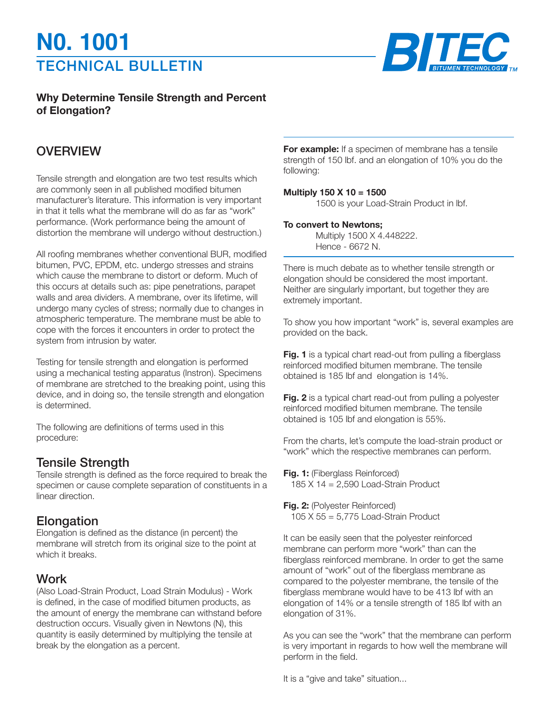# TECHNICAL BULLETIN **N0. 1001**



#### **Why Determine Tensile Strength and Percent of Elongation?**

### **OVERVIEW**

Tensile strength and elongation are two test results which are commonly seen in all published modified bitumen manufacturer's literature. This information is very important in that it tells what the membrane will do as far as "work" performance. (Work performance being the amount of distortion the membrane will undergo without destruction.)

All roofing membranes whether conventional BUR, modified bitumen, PVC, EPDM, etc. undergo stresses and strains which cause the membrane to distort or deform. Much of this occurs at details such as: pipe penetrations, parapet walls and area dividers. A membrane, over its lifetime, will undergo many cycles of stress; normally due to changes in atmospheric temperature. The membrane must be able to cope with the forces it encounters in order to protect the system from intrusion by water.

Testing for tensile strength and elongation is performed using a mechanical testing apparatus (Instron). Specimens of membrane are stretched to the breaking point, using this device, and in doing so, the tensile strength and elongation is determined.

The following are definitions of terms used in this procedure:

#### Tensile Strength

Tensile strength is defined as the force required to break the specimen or cause complete separation of constituents in a linear direction.

### **Elongation**

Elongation is defined as the distance (in percent) the membrane will stretch from its original size to the point at which it breaks.

## **Work**

(Also Load-Strain Product, Load Strain Modulus) - Work is defined, in the case of modified bitumen products, as the amount of energy the membrane can withstand before destruction occurs. Visually given in Newtons (N), this quantity is easily determined by multiplying the tensile at break by the elongation as a percent.

**For example:** If a specimen of membrane has a tensile strength of 150 lbf. and an elongation of 10% you do the following:

#### **Multiply 150 X 10 = 1500**

1500 is your Load-Strain Product in lbf.

#### **To convert to Newtons;**

Multiply 1500 X 4.448222. Hence - 6672 N.

There is much debate as to whether tensile strength or elongation should be considered the most important. Neither are singularly important, but together they are extremely important.

To show you how important "work" is, several examples are provided on the back.

Fig. 1 is a typical chart read-out from pulling a fiberglass reinforced modified bitumen membrane. The tensile obtained is 185 lbf and elongation is 14%.

**Fig. 2** is a typical chart read-out from pulling a polyester reinforced modified bitumen membrane. The tensile obtained is 105 lbf and elongation is 55%.

From the charts, let's compute the load-strain product or "work" which the respective membranes can perform.

**Fig. 1:** (Fiberglass Reinforced) 185 X 14 = 2,590 Load-Strain Product

**Fig. 2:** (Polyester Reinforced) 105 X 55 = 5,775 Load-Strain Product

It can be easily seen that the polyester reinforced membrane can perform more "work" than can the fiberglass reinforced membrane. In order to get the same amount of "work" out of the fiberglass membrane as compared to the polyester membrane, the tensile of the fiberglass membrane would have to be 413 lbf with an elongation of 14% or a tensile strength of 185 lbf with an elongation of 31%.

As you can see the "work" that the membrane can perform is very important in regards to how well the membrane will perform in the field.

It is a "give and take" situation...